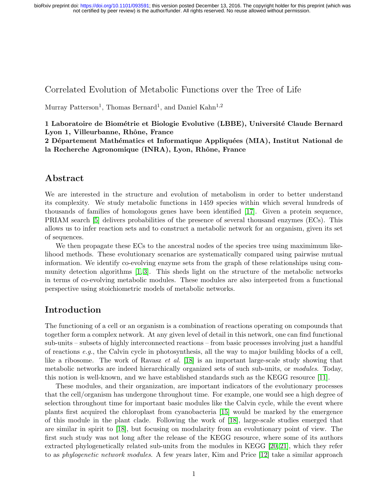## Correlated Evolution of Metabolic Functions over the Tree of Life

Murray Patterson<sup>1</sup>, Thomas Bernard<sup>1</sup>, and Daniel Kahn<sup>1,2</sup>

1 Laboratoire de Biométrie et Biologie Evolutive (LBBE), Université Claude Bernard Lyon 1, Villeurbanne, Rhône, France

2 Département Mathématics et Informatique Appliquées (MIA), Institut National de la Recherche Agronomique (INRA), Lyon, Rhône, France

### Abstract

We are interested in the structure and evolution of metabolism in order to better understand its complexity. We study metabolic functions in 1459 species within which several hundreds of thousands of families of homologous genes have been identified [\[17\]](#page-29-0). Given a protein sequence, PRIAM search [\[5\]](#page-28-0) delivers probabilities of the presence of several thousand enzymes (ECs). This allows us to infer reaction sets and to construct a metabolic network for an organism, given its set of sequences.

We then propagate these ECs to the ancestral nodes of the species tree using maximimum likelihood methods. These evolutionary scenarios are systematically compared using pairwise mutual information. We identify co-evolving enzyme sets from the graph of these relationships using community detection algorithms [\[1,](#page-28-1) [3\]](#page-28-2). This sheds light on the structure of the metabolic networks in terms of co-evolving metabolic modules. These modules are also interpreted from a functional perspective using stoichiometric models of metabolic networks.

## Introduction

The functioning of a cell or an organism is a combination of reactions operating on compounds that together form a complex network. At any given level of detail in this network, one can find functional sub-units – subsets of highly interconnected reactions – from basic processes involving just a handful of reactions e.g., the Calvin cycle in photosynthesis, all the way to major building blocks of a cell, like a ribosome. The work of Ravasz et al. [\[18\]](#page-29-1) is an important large-scale study showing that metabolic networks are indeed hierarchically organized sets of such sub-units, or *modules*. Today, this notion is well-known, and we have established standards such as the KEGG resource [\[11\]](#page-29-2).

These modules, and their organization, are important indicators of the evolutionary processes that the cell/organism has undergone throughout time. For example, one would see a high degree of selection throughout time for important basic modules like the Calvin cycle, while the event where plants first acquired the chloroplast from cyanobacteria [\[15\]](#page-29-3) would be marked by the emergence of this module in the plant clade. Following the work of [\[18\]](#page-29-1), large-scale studies emerged that are similar in spirit to [\[18\]](#page-29-1), but focusing on modularity from an evolutionary point of view. The first such study was not long after the release of the KEGG resource, where some of its authors extracted phylogenetically related sub-units from the modules in KEGG [\[20,](#page-29-4) [21\]](#page-29-5), which they refer to as phylogenetic network modules. A few years later, Kim and Price [\[12\]](#page-29-6) take a similar approach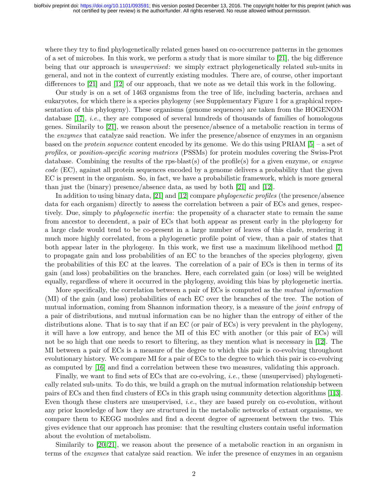where they try to find phylogenetically related genes based on co-occurrence patterns in the genomes of a set of microbes. In this work, we perform a study that is more similar to [\[21\]](#page-29-5), the big difference being that our approach is unsupervised: we simply extract phylogenetically related sub-units in general, and not in the context of currently existing modules. There are, of course, other important differences to [\[21\]](#page-29-5) and [\[12\]](#page-29-6) of our approach, that we note as we detail this work in the following.

Our study is on a set of 1463 organisms from the tree of life, including bacteria, archaea and eukaryotes, for which there is a species phylogeny (see Supplementary Figure 1 for a graphical representation of this phylogeny). These organisms (genome sequences) are taken from the HOGENOM database [\[17\]](#page-29-0), *i.e.*, they are composed of several hundreds of thousands of families of homologous genes. Similarily to [\[21\]](#page-29-5), we reason about the presence/absence of a metabolic reaction in terms of the enzymes that catalyze said reaction. We infer the presence/absence of enzymes in an organism based on the *protein sequence* content encoded by its genome. We do this using PRIAM  $[5]$  – a set of profiles, or position-specific scoring matrices (PSSMs) for protein modules covering the Swiss-Prot database. Combining the results of the rps-blast(s) of the profile(s) for a given enzyme, or enzyme code (EC), against all protein sequences encoded by a genome delivers a probability that the given EC is present in the organism. So, in fact, we have a probabilistic framework, which is more general than just the (binary) presence/absence data, as used by both [\[21\]](#page-29-5) and [\[12\]](#page-29-6).

In addition to using binary data, [\[21\]](#page-29-5) and [\[12\]](#page-29-6) compare *phylogenetic profiles* (the presence/absence data for each organism) directly to assess the correlation between a pair of ECs and genes, respectively. Due, simply to *phylogenetic inertia*: the propensity of a character state to remain the same from ancestor to decendent, a pair of ECs that both appear as present early in the phylogeny for a large clade would tend to be co-present in a large number of leaves of this clade, rendering it much more highly correlated, from a phylogenetic profile point of view, than a pair of states that both appear later in the phylogeny. In this work, we first use a maximum likelihood method [\[7\]](#page-28-3) to propagate gain and loss probabilities of an EC to the branches of the species phylogeny, given the probabilities of this EC at the leaves. The correlation of a pair of ECs is then in terms of its gain (and loss) probabilities on the branches. Here, each correlated gain (or loss) will be weighted equally, regardless of where it occurred in the phylogeny, avoiding this bias by phylogenetic inertia.

More specifically, the correlation between a pair of ECs is computed as the *mutual information* (MI) of the gain (and loss) probabilities of each EC over the branches of the tree. The notion of mutual information, coming from Shannon information theory, is a measure of the *joint entropy* of a pair of distributions, and mutual information can be no higher than the entropy of either of the distributions alone. That is to say that if an EC (or pair of ECs) is very prevalent in the phylogeny, it will have a low entropy, and hence the MI of this EC with another (or this pair of ECs) will not be so high that one needs to resort to filtering, as they mention what is necessary in [\[12\]](#page-29-6). The MI between a pair of ECs is a measure of the degree to which this pair is co-evolving throughout evolutionary history. We compare MI for a pair of ECs to the degree to which this pair is co-evolving as computed by [\[16\]](#page-29-7) and find a correlation between these two measures, validating this approach.

Finally, we want to find sets of ECs that are co-evolving, i.e., these (unsupervised) phylogenetically related sub-units. To do this, we build a graph on the mutual information relationship between pairs of ECs and then find clusters of ECs in this graph using community detection algorithms [\[1,](#page-28-1)[3\]](#page-28-2). Even though these clusters are unsupervised, i.e., they are based purely on co-evolution, without any prior knowledge of how they are structured in the metabolic networks of extant organisms, we compare them to KEGG modules and find a decent degree of agreement between the two. This gives evidence that our approach has promise: that the resulting clusters contain useful information about the evolution of metabolism.

Similarily to [\[20,](#page-29-4) [21\]](#page-29-5), we reason about the presence of a metabolic reaction in an organism in terms of the enzymes that catalyze said reaction. We infer the presence of enzymes in an organism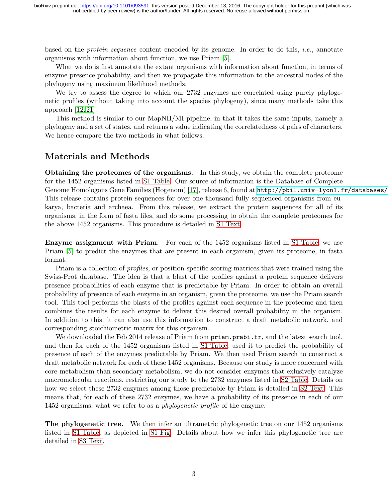based on the *protein sequence* content encoded by its genome. In order to do this, *i.e.*, annotate organisms with information about function, we use Priam [\[5\]](#page-28-0).

What we do is first annotate the extant organisms with information about function, in terms of enzyme presence probability, and then we propagate this information to the ancestral nodes of the phylogeny using maximum likelihood methods.

We try to assess the degree to which our 2732 enzymes are correlated using purely phylogenetic profiles (without taking into account the species phylogeny), since many methods take this approach  $[12, 21]$  $[12, 21]$ .

This method is similar to our MapNH/MI pipeline, in that it takes the same inputs, namely a phylogeny and a set of states, and returns a value indicating the correlatedness of pairs of characters. We hence compare the two methods in what follows.

## <span id="page-2-2"></span>Materials and Methods

Obtaining the proteomes of the organisms. In this study, we obtain the complete proteome for the 1452 organisms listed in [S1 Table.](#page-27-0) Our source of information is the Database of Complete Genome Homologous Gene Families (Hogenom) [\[17\]](#page-29-0), release 6, found at http://pbil.univ-lyon1.fr/databases/ This release contains protein sequences for over one thousand fully sequenced organisms from eukarya, bacteria and archaea. From this release, we extract the protein sequences for all of its organisms, in the form of fasta files, and do some processing to obtain the complete proteomes for the above 1452 organisms. This procedure is detailed in [S1 Text.](#page-27-1)

<span id="page-2-0"></span>Enzyme assignment with Priam. For each of the 1452 organisms listed in [S1 Table,](#page-27-0) we use Priam [\[5\]](#page-28-0) to predict the enzymes that are present in each organism, given its proteome, in fasta format.

Priam is a collection of *profiles*, or position-specific scoring matrices that were trained using the Swiss-Prot database. The idea is that a blast of the profiles against a protein sequence delivers presence probabilities of each enzyme that is predictable by Priam. In order to obtain an overall probability of presence of each enzyme in an organism, given the proteome, we use the Priam search tool. This tool performs the blasts of the profiles against each sequence in the proteome and then combines the results for each enzyme to deliver this desired overall probability in the organism. In addition to this, it can also use this information to construct a draft metabolic network, and corresponding stoichiometric matrix for this organism.

We downloaded the Feb 2014 release of Priam from priam.prabi.fr, and the latest search tool, and then for each of the 1452 organisms listed in [S1 Table,](#page-27-0) used it to predict the probability of presence of each of the enzymes predictable by Priam. We then used Priam search to construct a draft metabolic network for each of these 1452 organisms. Because our study is more concerned with core metabolism than secondary metabolism, we do not consider enzymes that exlusively catalyze macromolecular reactions, restricting our study to the 2732 enzymes listed in [S2 Table.](#page-27-2) Details on how we select these 2732 enzymes among those predictable by Priam is detailed in [S2 Text.](#page-27-3) This means that, for each of these 2732 enzymes, we have a probability of its presence in each of our 1452 organisms, what we refer to as a *phylogenetic profile* of the enzyme.

<span id="page-2-1"></span>The phylogenetic tree. We then infer an ultrametric phylogenetic tree on our 1452 organisms listed in [S1 Table,](#page-27-0) as depicted in [S1 Fig.](#page-27-4) Details about how we infer this phylogenetic tree are detailed in [S3 Text.](#page-27-5)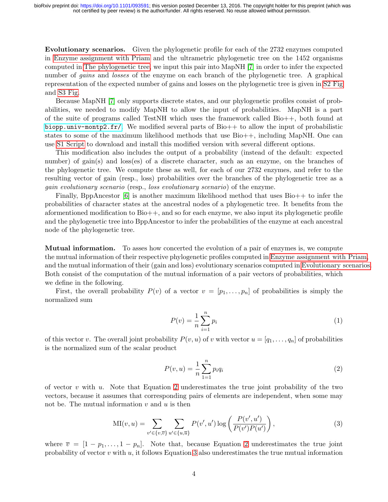<span id="page-3-0"></span>Evolutionary scenarios. Given the phylogenetic profile for each of the 2732 enzymes computed in [Enzyme assignment with Priam](#page-2-0) and the ultrametric phylogenetic tree on the 1452 organisms computed in [The phylogenetic tree,](#page-2-1) we input this pair into MapNH [\[7\]](#page-28-3) in order to infer the expected number of *gains* and *losses* of the enzyme on each branch of the phylogenetic tree. A graphical representation of the expected number of gains and losses on the phylogenetic tree is given in [S2 Fig](#page-27-6) and [S3 Fig.](#page-27-7)

Because MapNH [\[7\]](#page-28-3) only supports discrete states, and our phylogenetic profiles consist of probabilities, we needed to modify MapNH to allow the input of probabilities. MapNH is a part of the suite of programs called TestNH which uses the framework called Bio++, both found at <biopp.univ-montp2.fr/>. We modified several parts of  $Bio++$  to allow the input of probabilistic states to some of the maximum likelihood methods that use Bio++, including MapNH. One can use [S1 Script](#page-27-8) to download and install this modified version with several different options.

This modification also includes the output of a probability (instead of the default: expected number) of gain(s) and loss(es) of a discrete character, such as an enzyme, on the branches of the phylogenetic tree. We compute these as well, for each of our 2732 enzymes, and refer to the resulting vector of gain (resp., loss) probabilities over the branches of the phylogenetic tree as a gain evolutionary scenario (resp., loss evolutionary scenario) of the enzyme.

Finally, BppAncestor [\[6\]](#page-28-4) is another maximum likelihood method that uses Bio++ to infer the probabilities of character states at the ancestral nodes of a phylogenetic tree. It benefits from the aformentioned modification to Bio++, and so for each enzyme, we also input its phylogenetic profile and the phylogenetic tree into BppAncestor to infer the probabilities of the enzyme at each ancestral node of the phylogenetic tree.

Mutual information. To asses how concerted the evolution of a pair of enzymes is, we compute the mutual information of their respective phylogenetic profiles computed in [Enzyme assignment with Priam,](#page-2-0) and the mutual information of their (gain and loss) evolutionary scenarios computed in [Evolutionary scenarios.](#page-3-0) Both consist of the computation of the mutual information of a pair vectors of probabilities, which we define in the following.

First, the overall probability  $P(v)$  of a vector  $v = [p_1, \ldots, p_n]$  of probabilities is simply the normalized sum

$$
P(v) = \frac{1}{n} \sum_{i=1}^{n} p_i
$$
 (1)

of this vector v. The overall joint probability  $P(v, u)$  of v with vector  $u = [q_1, \ldots, q_n]$  of probabilities is the normalized sum of the scalar product

<span id="page-3-1"></span>
$$
P(v, u) = \frac{1}{n} \sum_{1=1}^{n} p_i q_i
$$
 (2)

of vector v with u. Note that Equation [2](#page-3-1) underestimates the true joint probability of the two vectors, because it assumes that corresponding pairs of elements are independent, when some may not be. The mutual information  $v$  and  $u$  is then

<span id="page-3-2"></span>
$$
\mathrm{MI}(v, u) = \sum_{v' \in \{v, \overline{v}\}} \sum_{u' \in \{u, \overline{u}\}} P(v', u') \log \left( \frac{P(v', u')}{P(v')P(u')} \right),\tag{3}
$$

where  $\overline{v} = [1 - p_1, \ldots, 1 - p_n]$ . Note that, because Equation [2](#page-3-1) underestimates the true joint probability of vector  $v$  with  $u$ , it follows Equation [3](#page-3-2) also underestimates the true mutual information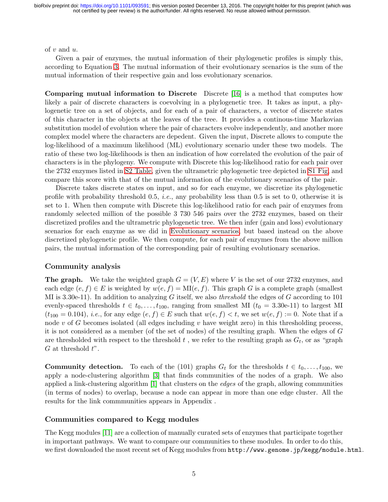of  $v$  and  $u$ .

Given a pair of enzymes, the mutual information of their phylogenetic profiles is simply this, according to Equation [3.](#page-3-2) The mutual information of their evolutionary scenarios is the sum of the mutual information of their respective gain and loss evolutionary scenarios.

Comparing mutual information to Discrete Discrete [\[16\]](#page-29-7) is a method that computes how likely a pair of discrete characters is coevolving in a phylogenetic tree. It takes as input, a phylogenetic tree on a set of objects, and for each of a pair of characters, a vector of discrete states of this character in the objects at the leaves of the tree. It provides a continous-time Markovian substitution model of evolution where the pair of characters evolve independently, and another more complex model where the characters are depedent. Given the input, Discrete allows to compute the log-likelihood of a maximum likelihood (ML) evolutionary scenario under these two models. The ratio of these two log-likelihoods is then an indication of how correlated the evolution of the pair of characters is in the phylogeny. We compute with Discrete this log-likelihood ratio for each pair over the 2732 enzymes listed in [S2 Table,](#page-27-2) given the ultrametric phylogenetic tree depicted in [S1 Fig,](#page-27-4) and compare this score with that of the mutual information of the evolutionary scenarios of the pair.

Discrete takes discrete states on input, and so for each enzyme, we discretize its phylogenetic profile with probability threshold 0.5, i.e., any probability less than 0.5 is set to 0, otherwise it is set to 1. When then compute with Discrete this log-likelihood ratio for each pair of enzymes from randomly selected million of the possible 3 730 546 pairs over the 2732 enzymes, based on their discretized profiles and the ultrametric phylogenetic tree. We then infer (gain and loss) evolutionary scenarios for each enzyme as we did in [Evolutionary scenarios,](#page-3-0) but based instead on the above discretized phylogenetic profile. We then compute, for each pair of enzymes from the above million pairs, the mutual information of the corresponding pair of resulting evolutionary scenarios.

### Community analysis

**The graph.** We take the weighted graph  $G = (V, E)$  where V is the set of our 2732 enzymes, and each edge  $(e, f) \in E$  is weighted by  $w(e, f) = M(e, f)$ . This graph G is a complete graph (smallest) MI is 3.30e-11). In addition to analyzing G itself, we also *threshold* the edges of G according to 101 evenly-spaced thresholds  $t \in t_0, \ldots, t_{100}$ , ranging from smallest MI  $(t_0 = 3.30e-11)$  to largest MI  $(t_{100} = 0.104)$ , *i.e.*, for any edge  $(e, f) \in E$  such that  $w(e, f) < t$ , we set  $w(e, f) := 0$ . Note that if a node v of G becomes isolated (all edges including v have weight zero) in this thresholding process, it is not considered as a member (of the set of nodes) of the resulting graph. When the edges of G are thresholded with respect to the threshold  $t$ , we refer to the resulting graph as  $G_t$ , or as "graph"  $G$  at threshold  $t$ ".

**Community detection.** To each of the (101) graphs  $G_t$  for the thresholds  $t \in t_0, \ldots, t_{100}$ , we apply a node-clustering algorithm [\[3\]](#page-28-2) that finds communities of the nodes of a graph. We also applied a link-clustering algorithm  $[1]$  that clusters on the *edges* of the graph, allowing communities (in terms of nodes) to overlap, because a node can appear in more than one edge cluster. All the results for the link commmunities appears in Appendix .

#### Communities compared to Kegg modules

The Kegg modules [\[11\]](#page-29-2) are a collection of manually curated sets of enzymes that participate together in important pathways. We want to compare our communities to these modules. In order to do this, we first downloaded the most recent set of Kegg modules from http://www.genome.jp/kegg/module.html.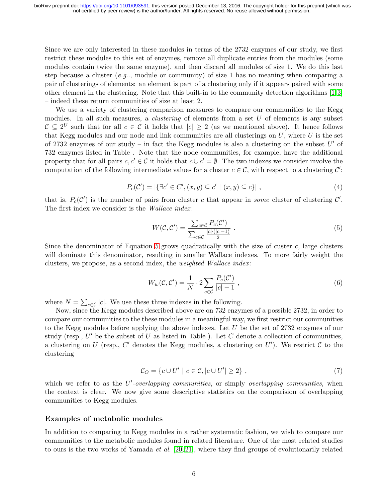Since we are only interested in these modules in terms of the 2732 enzymes of our study, we first restrict these modules to this set of enzymes, remove all duplicate entries from the modules (some modules contain twice the same enzyme), and then discard all modules of size 1. We do this last step because a cluster (e.g.., module or community) of size 1 has no meaning when comparing a pair of clusterings of elements: an element is part of a clustering only if it appears paired with some other element in the clustering. Note that this built-in to the community detection algorithms [\[1,](#page-28-1)[3\]](#page-28-2) – indeed these return communities of size at least 2.

We use a variety of clustering comparison measures to compare our communities to the Kegg modules. In all such measures, a *clustering* of elements from a set  $U$  of elements is any subset  $C \subseteq 2^U$  such that for all  $c \in C$  it holds that  $|c| \geq 2$  (as we mentioned above). It hence follows that Kegg modules and our node and link communities are all clusterings on  $U$ , where  $U$  is the set of 2732 enzymes of our study – in fact the Kegg modules is also a clustering on the subset  $U'$  of 732 enzymes listed in Table . Note that the node communities, for example, have the additional property that for all pairs  $c, c' \in \mathcal{C}$  it holds that  $c \cup c' = \emptyset$ . The two indexes we consider involve the computation of the following intermediate values for a cluster  $c \in \mathcal{C}$ , with respect to a clustering  $\mathcal{C}'$ :

$$
P_c(\mathcal{C}') = |\{\exists c' \in C', (x, y) \subseteq c' \mid (x, y) \subseteq c\}|,
$$
\n
$$
(4)
$$

that is,  $P_c(\mathcal{C}')$  is the number of pairs from cluster c that appear in some cluster of clustering  $\mathcal{C}'$ . The first index we consider is the Wallace index:

<span id="page-5-0"></span>
$$
W(\mathcal{C}, \mathcal{C}') = \frac{\sum_{c \in \mathcal{C}} P_c(\mathcal{C}')}{\sum_{c \in \mathcal{C}} \frac{|c| \cdot (|c| - 1)}{2}} \,. \tag{5}
$$

Since the denominator of Equation [5](#page-5-0) grows quadratically with the size of custer  $c$ , large clusters will dominate this denominator, resulting in smaller Wallace indexes. To more fairly weight the clusters, we propose, as a second index, the *weighted Wallace index*:

$$
W_w(\mathcal{C}, \mathcal{C}') = \frac{1}{N} \cdot 2 \sum_{c \in \mathcal{C}} \frac{P_c(\mathcal{C}')}{|c| - 1},\tag{6}
$$

where  $N = \sum_{c \in \mathcal{C}} |c|$ . We use these three indexes in the following.

Now, since the Kegg modules described above are on 732 enzymes of a possible 2732, in order to compare our communities to the these modules in a meaningful way, we first restrict our communities to the Kegg modules before applying the above indexes. Let  $U$  be the set of 2732 enzymes of our study (resp.,  $U'$  be the subset of U as listed in Table ). Let C denote a collection of communities, a clustering on U (resp., C' denotes the Kegg modules, a clustering on U'). We restrict C to the clustering

$$
\mathcal{C}_O = \{c \cup U' \mid c \in \mathcal{C}, |c \cup U'| \ge 2\},\tag{7}
$$

which we refer to as the  $U'$ -overlapping communities, or simply overlapping communities, when the context is clear. We now give some descriptive statistics on the comparision of overlapping communities to Kegg modules.

#### <span id="page-5-1"></span>Examples of metabolic modules

In addition to comparing to Kegg modules in a rather systematic fashion, we wish to compare our communities to the metabolic modules found in related literature. One of the most related studies to ours is the two works of Yamada *et al.* [\[20,](#page-29-4) [21\]](#page-29-5), where they find groups of evolutionarily related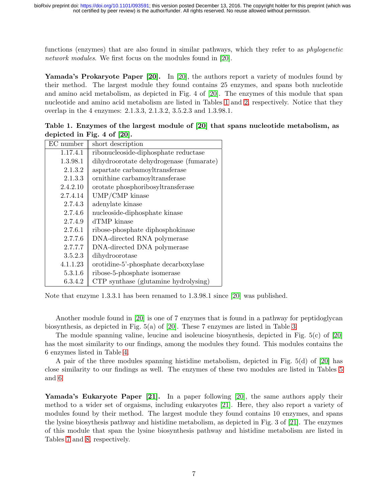functions (enzymes) that are also found in similar pathways, which they refer to as *phylogenetic* network modules. We first focus on the modules found in [\[20\]](#page-29-4).

Yamada's Prokaryote Paper [\[20\]](#page-29-4). In [20], the authors report a variety of modules found by their method. The largest module they found contains 25 enzymes, and spans both nucleotide and amino acid metabolism, as depicted in Fig. 4 of [\[20\]](#page-29-4). The enzymes of this module that span nucleotide and amino acid metabolism are listed in Tables [1](#page-6-0) and [2,](#page-7-0) respectively. Notice that they overlap in the 4 enzymes: 2.1.3.3, 2.1.3.2, 3.5.2.3 and 1.3.98.1.

| EC number | short description                       |  |  |  |  |
|-----------|-----------------------------------------|--|--|--|--|
| 1.17.4.1  | ribonucleoside-diphosphate reductase    |  |  |  |  |
| 1.3.98.1  | dihydroorotate dehydrogenase (fumarate) |  |  |  |  |
| 2.1.3.2   | aspartate carbamoyltransferase          |  |  |  |  |
| 2.1.3.3   | ornithine carbamoyltransferase          |  |  |  |  |
| 2.4.2.10  | orotate phosphoribosyltransferase       |  |  |  |  |
| 2.7.4.14  | UMP/CMP kinase                          |  |  |  |  |
| 2.7.4.3   | adenylate kinase                        |  |  |  |  |
| 2.7.4.6   | nucleoside-diphosphate kinase           |  |  |  |  |
| 2.7.4.9   | dTMP kinase                             |  |  |  |  |
| 2.7.6.1   | ribose-phosphate diphosphokinase        |  |  |  |  |
| 2.7.7.6   | DNA-directed RNA polymerase             |  |  |  |  |
| 2.7.7.7   | DNA-directed DNA polymerase             |  |  |  |  |
| 3.5.2.3   | dihydroorotase                          |  |  |  |  |
| 4.1.1.23  | orotidine-5'-phosphate decarboxylase    |  |  |  |  |
| 5.3.1.6   | ribose-5-phosphate isomerase            |  |  |  |  |
| 6.3.4.2   | CTP synthase (glutamine hydrolysing)    |  |  |  |  |

<span id="page-6-0"></span>Table 1. Enzymes of the largest module of [\[20\]](#page-29-4) that spans nucleotide metabolism, as depicted in Fig. 4 of [\[20\]](#page-29-4).

Note that enzyme 1.3.3.1 has been renamed to 1.3.98.1 since [\[20\]](#page-29-4) was published.

Another module found in [\[20\]](#page-29-4) is one of 7 enzymes that is found in a pathway for peptidoglycan biosynthesis, as depicted in Fig. 5(a) of [\[20\]](#page-29-4). These 7 enzymes are listed in Table [3.](#page-7-1)

The module spanning valine, leucine and isoleucine biosynthesis, depicted in Fig. 5(c) of [\[20\]](#page-29-4) has the most similarity to our findings, among the modules they found. This modules contains the 6 enzymes listed in Table [4.](#page-8-0)

A pair of the three modules spanning histidine metabolism, depicted in Fig. 5(d) of [\[20\]](#page-29-4) has close similarity to our findings as well. The enzymes of these two modules are listed in Tables [5](#page-8-1) and [6.](#page-8-2)

Yamada's Eukaryote Paper [\[21\]](#page-29-5). In a paper following [\[20\]](#page-29-4), the same authors apply their method to a wider set of orgaisms, including eukaryotes [\[21\]](#page-29-5). Here, they also report a variety of modules found by their method. The largest module they found contains 10 enzymes, and spans the lysine biosythesis pathway and histidine metabolism, as depicted in Fig. 3 of [\[21\]](#page-29-5). The enzymes of this module that span the lysine biosynthesis pathway and histidine metabolism are listed in Tables [7](#page-8-3) and [8,](#page-8-4) respectively.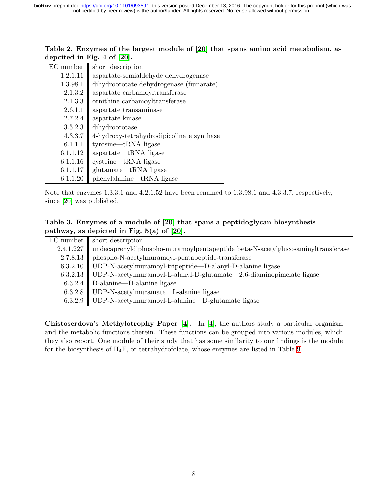| EC number | short description                         |  |  |  |
|-----------|-------------------------------------------|--|--|--|
| 1.2.1.11  | aspartate-semialdehyde dehydrogenase      |  |  |  |
| 1.3.98.1  | dihydroorotate dehydrogenase (fumarate)   |  |  |  |
| 2.1.3.2   | aspartate carbamoyltransferase            |  |  |  |
| 2.1.3.3   | ornithine carbamoyltransferase            |  |  |  |
| 2.6.1.1   | aspartate transaminase                    |  |  |  |
| 2.7.2.4   | aspartate kinase                          |  |  |  |
| 3.5.2.3   | dihydroorotase                            |  |  |  |
| 4.3.3.7   | 4-hydroxy-tetrahydrodipicolinate synthase |  |  |  |
| 6.1.1.1   | $tyrosine—tRNA$ ligase                    |  |  |  |
| 6.1.1.12  | $a$ spartate—tRNA ligase                  |  |  |  |
| 6.1.1.16  | $cysteine—tRNA$ ligase                    |  |  |  |
| 6.1.1.17  | glutamate—tRNA ligase                     |  |  |  |
| 6.1.1.20  | phenylalanine—tRNA ligase                 |  |  |  |

<span id="page-7-0"></span>

| Table 2. Enzymes of the largest module of [20] that spans amino acid metabolism, as |  |  |  |  |  |  |
|-------------------------------------------------------------------------------------|--|--|--|--|--|--|
| depcited in Fig. 4 of $[20]$ .                                                      |  |  |  |  |  |  |

Note that enzymes 1.3.3.1 and 4.2.1.52 have been renamed to 1.3.98.1 and 4.3.3.7, respectively, since [\[20\]](#page-29-4) was published.

<span id="page-7-1"></span>Table 3. Enzymes of a module of [\[20\]](#page-29-4) that spans a peptidoglycan biosynthesis pathway, as depicted in Fig. 5(a) of [\[20\]](#page-29-4).

| EC number | short description                                                                |
|-----------|----------------------------------------------------------------------------------|
| 2.4.1.227 | undecaprenyldiphospho-muramoylpentapeptide beta-N-acetylglucosaminyltransferase  |
| 2.7.8.13  | phospho-N-acetylmuramoyl-pentapeptide-transferase                                |
| 6.3.2.10  | UDP-N-acetylmuramoyl-tripeptide—D-alanyl-D-alanine ligase                        |
|           | 6.3.2.13    UDP-N-acetylmuramoyl-L-alanyl-D-glutamate—2,6-diaminopimelate ligase |
| 6.3.2.4   | D-alanine—D-alanine ligase                                                       |
| 6.3.2.8   | UDP-N-acetylmuramate—L-alanine ligase                                            |
| 6.3.2.9   | UDP-N-acetylmuramoyl-L-alanine-D-glutamate ligase                                |

Chistoserdova's Methylotrophy Paper [\[4\]](#page-28-5). In [\[4\]](#page-28-5), the authors study a particular organism and the metabolic functions therein. These functions can be grouped into various modules, which they also report. One module of their study that has some similarity to our findings is the module for the biosynthesis of  $H_4F$ , or tetrahydrofolate, whose enzymes are listed in Table [9.](#page-9-0)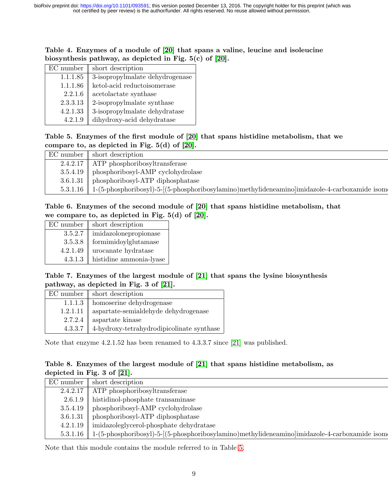<span id="page-8-0"></span>

| Table 4. Enzymes of a module of [20] that spans a valine, leucine and isoleucine |  |  |  |  |  |  |
|----------------------------------------------------------------------------------|--|--|--|--|--|--|
| biosynthesis pathway, as depicted in Fig. $5(c)$ of [20].                        |  |  |  |  |  |  |

| EC number | short description               |
|-----------|---------------------------------|
| 1.1.1.85  | 3-isopropylmalate dehydrogenase |
| 1.1.1.86  | ketol-acid reductoisomerase     |
| 2.2.1.6   | acetolactate synthase           |
| 2.3.3.13  | 2-isopropylmalate synthase      |
| 4.2.1.33  | 3-isopropylmalate dehydratase   |
| 4.2.1.9   | dihydroxy-acid dehydratase      |

<span id="page-8-1"></span>Table 5. Enzymes of the first module of [\[20\]](#page-29-4) that spans histidine metabolism, that we compare to, as depicted in Fig. 5(d) of [\[20\]](#page-29-4).

| $\mathbb{E} \mathbb{C}$ number $\parallel$ short description                                               |
|------------------------------------------------------------------------------------------------------------|
| $2.4.2.17$   ATP phosphoribosyltransferase                                                                 |
| $3.5.4.19$ phosphoribosyl-AMP cyclohydrolase                                                               |
| 3.6.1.31   phosphoribosyl-ATP diphosphatase                                                                |
| $5.3.1.16$   1-(5-phosphoribosyl)-5-[(5-phosphoribosylamino)methylideneamino]imidazole-4-carboxamide isome |

### <span id="page-8-2"></span>Table 6. Enzymes of the second module of [\[20\]](#page-29-4) that spans histidine metabolism, that we compare to, as depicted in Fig. 5(d) of [\[20\]](#page-29-4).

| $EC$ number $\parallel$ | short description               |
|-------------------------|---------------------------------|
| 3.5.2.7                 | imidazolonepropionase           |
| 3.5.3.8                 | ${\it formimidoylglutamase}$    |
| 4.2.1.49                | $\!$ urocanate hydratase        |
| 4.3.1.3                 | $\quad$ histidine ammonia-lyase |

### <span id="page-8-3"></span>Table 7. Enzymes of the largest module of [\[21\]](#page-29-5) that spans the lysine biosynthesis pathway, as depicted in Fig. 3 of [\[21\]](#page-29-5).

|          | $EC$ number $\parallel$ short description     |
|----------|-----------------------------------------------|
| 1.1.1.3  | homoserine dehydrogenase                      |
| 1.2.1.11 | $\!$ aspartate-semialde<br>hyde dehydrogenase |
| 2.7.2.4  | aspartate kinase                              |
| 4.3.3.7  | $4$ -hydroxy-tetrahydrodipicolinate synthase  |

Note that enzyme 4.2.1.52 has been renamed to 4.3.3.7 since [\[21\]](#page-29-5) was published.

### <span id="page-8-4"></span>Table 8. Enzymes of the largest module of [\[21\]](#page-29-5) that spans histidine metabolism, as depicted in Fig. 3 of [\[21\]](#page-29-5).

|  | $\mathbb{E} \mathbb{C}$ number $\parallel$ short description                                                              |
|--|---------------------------------------------------------------------------------------------------------------------------|
|  | $2.4.2.17$   ATP phosphoribosyltransferase                                                                                |
|  | $2.6.1.9$    histidinol-phosphate transaminase                                                                            |
|  | $3.5.4.19$   phosphoribosyl-AMP cyclohydrolase                                                                            |
|  | 3.6.1.31   phosphoribosyl-ATP diphosphatase                                                                               |
|  | $4.2.1.19$    imidazoleglycerol-phosphate dehydratase                                                                     |
|  | $5.3.1.16$   1-(5-phosphoribosyl)-5-[(5-phosphoribosylamino)methylideneamino]imidazole-4-carboxamide isomethylideneamino] |
|  |                                                                                                                           |

Note that this module contains the module referred to in Table [5.](#page-8-1)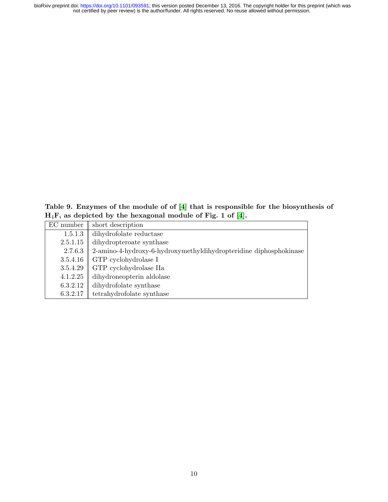not certified by peer review) is the author/funder. All rights reserved. No reuse allowed without permission. bioRxiv preprint doi: [https://doi.org/10.1101/093591;](https://doi.org/10.1101/093591) this version posted December 13, 2016. The copyright holder for this preprint (which was

<span id="page-9-0"></span>Table 9. Enzymes of the module of of [\[4\]](#page-28-5) that is responsible for the biosynthesis of  $H_4F$ , as depicted by the hexagonal module of Fig. 1 of [\[4\]](#page-28-5).

| EC number | short description                                                 |
|-----------|-------------------------------------------------------------------|
| 1.5.1.3   | dihydrofolate reductase                                           |
| 2.5.1.15  | dihydropteroate synthase                                          |
| 2.7.6.3   | 2-amino-4-hydroxy-6-hydroxymethyldihydropteridine diphosphokinase |
| 3.5.4.16  | GTP cyclohydrolase I                                              |
| 3.5.4.29  | GTP cyclohydrolase IIa                                            |
| 4.1.2.25  | dihydroneopterin aldolase                                         |
| 6.3.2.12  | dihydrofolate synthase                                            |
| 6.3.2.17  | tetrahydrofolate synthase                                         |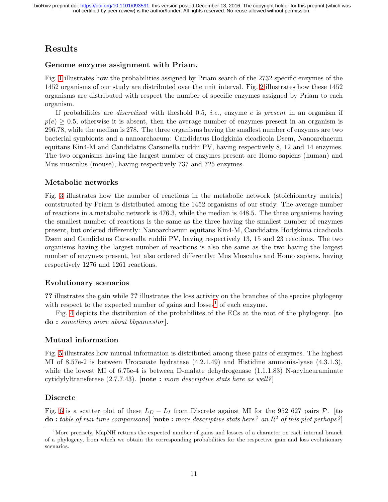# Results

### Genome enzyme assignment with Priam.

Fig. [1](#page-14-0) illustrates how the probabilities assigned by Priam search of the 2732 specific enzymes of the 1452 organisms of our study are distributed over the unit interval. Fig. [2](#page-15-0) illustrates how these 1452 organisms are distributed with respect the number of specific enzymes assigned by Priam to each organism.

If probabilities are *discretized* with theshold 0.5, *i.e.*, enzyme e is present in an organism if  $p(e) \geq 0.5$ , otherwise it is absent, then the average number of enzymes present in an organism is 296.78, while the median is 278. The three organisms having the smallest number of enzymes are two bacterial symbionts and a nanoarchaeum: Candidatus Hodgkinia cicadicola Dsem, Nanoarchaeum equitans Kin4-M and Candidatus Carsonella ruddii PV, having respectively 8, 12 and 14 enzymes. The two organisms having the largest number of enzymes present are Homo sapiens (human) and Mus musculus (mouse), having respectively 737 and 725 enzymes.

### Metabolic networks

Fig. [3](#page-16-0) illustrates how the number of reactions in the metabolic network (stoichiometry matrix) contstructed by Priam is distributed among the 1452 organisms of our study. The average number of reactions in a metabolic network is 476.3, while the median is 448.5. The three organisms having the smallest number of reactions is the same as the three having the smallest number of enzymes present, but ordered differently: Nanoarchaeum equitans Kin4-M, Candidatus Hodgkinia cicadicola Dsem and Candidatus Carsonella ruddii PV, having respectively 13, 15 and 23 reactions. The two organisms having the largest number of reactions is also the same as the two having the largest number of enzymes present, but also ordered differently: Mus Musculus and Homo sapiens, having respectively 1276 and 1261 reactions.

### Evolutionary scenarios

?? illustrates the gain while ?? illustrates the loss activity on the branches of the species phylogeny with respect to the expected number of gains and  $losses<sup>1</sup>$  $losses<sup>1</sup>$  $losses<sup>1</sup>$  of each enzyme.

Fig. [4](#page-17-0) depicts the distribution of the probabilites of the ECs at the root of the phylogeny. [to do : something more about bbpancestor].

### Mutual information

Fig. [5](#page-18-0) illustrates how mutual information is distributed among these pairs of enzymes. The highest MI of 8.57e-2 is between Urocanate hydratase (4.2.1.49) and Histidine ammonia-lyase (4.3.1.3), while the lowest MI of 6.75e-4 is between D-malate dehydrogenase  $(1.1.1.83)$  N-acylneuraminate cytidylyltransferase  $(2.7.7.43)$ . [note : more descriptive stats here as well?]

### Discrete

Fig. [6](#page-19-0) is a scatter plot of these  $L_D - L_I$  from Discrete against MI for the 952 627 pairs P. [to  $\bf{do}:$  table of run-time comparisons]  $[\bf{note}:$  more descriptive stats here? an  $R^2$  of this plot perhaps?]

<span id="page-10-0"></span><sup>&</sup>lt;sup>1</sup>More precisely, MapNH returns the expected number of gains and lossees of a character on each internal branch of a phylogeny, from which we obtain the corresponding probabilities for the respective gain and loss evolutionary scenarios.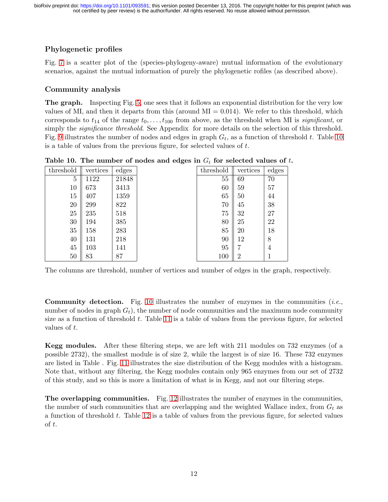## Phylogenetic profiles

Fig. [7](#page-20-0) is a scatter plot of the (species-phylogeny-aware) mutual information of the evolutionary scenarios, against the mutual information of purely the phylogenetic rofiles (as described above).

### Community analysis

The graph. Inspecting Fig. [5,](#page-18-0) one sees that it follows an exponential distribution for the very low values of MI, and then it departs from this (around  $MI = 0.014$ ). We refer to this threshold, which corresponds to  $t_{14}$  of the range  $t_0, \ldots, t_{100}$  from above, as the threshold when MI is *significant*, or simply the *significance threshold*. See Appendix for more details on the selection of this threshold. Fig. [9](#page-22-0) illustrates the number of nodes and edges in graph  $G_t$ , as a function of threshold t. Table [10](#page-11-0) is a table of values from the previous figure, for selected values of  $t$ .

| threshold | vertices | edges | threshold | vertices       | edges |
|-----------|----------|-------|-----------|----------------|-------|
| 5         | 1122     | 21848 | 55        | 69             | 70    |
| 10        | 673      | 3413  | 60        | 59             | 57    |
| 15        | 407      | 1359  | 65        | 50             | 44    |
| 20        | 299      | 822   | 70        | 45             | 38    |
| 25        | 235      | 518   | 75        | 32             | 27    |
| 30        | 194      | 385   | 80        | 25             | 22    |
| 35        | 158      | 283   | 85        | 20             | 18    |
| 40        | 131      | 218   | 90        | 12             | 8     |
| 45        | 103      | 141   | 95        |                | 4     |
| 50        | 83       | 87    | 100       | $\overline{2}$ | 1     |

<span id="page-11-0"></span>Table 10. The number of nodes and edges in  $G_t$  for selected values of t.

The columns are threshold, number of vertices and number of edges in the graph, respectively.

**Community detection.** Fig. [10](#page-22-1) illustrates the number of enzymes in the communities (*i.e.*, number of nodes in graph  $G_t$ ), the number of node communities and the maximum node community size as a function of threshold  $t$ . Table [11](#page-12-0) is a table of values from the previous figure, for selected values of t.

Kegg modules. After these filtering steps, we are left with 211 modules on 732 enzymes (of a possible 2732), the smallest module is of size 2, while the largest is of size 16. These 732 enzymes are listed in Table . Fig. [11](#page-23-0) illustrates the size distribution of the Kegg modules with a histogram. Note that, without any filtering, the Kegg modules contain only 965 enzymes from our set of 2732 of this study, and so this is more a limitation of what is in Kegg, and not our filtering steps.

The overlapping communities. Fig. [12](#page-24-0) illustrates the number of enzymes in the communities, the number of such communities that are overlapping and the weighted Wallace index, from  $G_t$  as a function of threshold t. Table [12](#page-13-0) is a table of values from the previous figure, for selected values of t.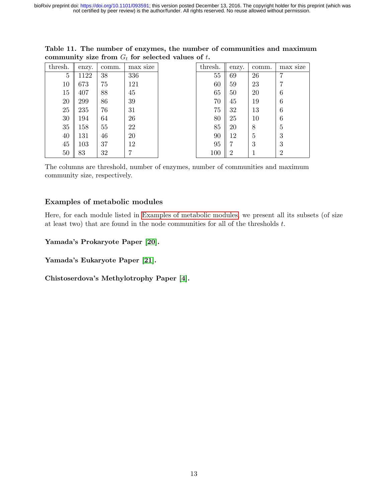| thresh. | enzy. | comm. | max size | thresh. | enzy.          | comm. | max size       |
|---------|-------|-------|----------|---------|----------------|-------|----------------|
| 5       | 1122  | 38    | 336      | 55      | 69             | 26    | 7              |
| 10      | 673   | 75    | 121      | 60      | 59             | 23    | 7              |
| 15      | 407   | 88    | 45       | 65      | 50             | 20    | 6              |
| $20\,$  | 299   | 86    | 39       | 70      | 45             | 19    | 6              |
| 25      | 235   | 76    | 31       | 75      | 32             | 13    | 6              |
| 30      | 194   | 64    | 26       | 80      | 25             | 10    | 6              |
| 35      | 158   | 55    | 22       | 85      | 20             | 8     | 5              |
| 40      | 131   | 46    | 20       | 90      | 12             | 5     | 3              |
| 45      | 103   | 37    | 12       | 95      |                | 3     | 3              |
| 50      | 83    | 32    |          | 100     | $\overline{2}$ |       | $\overline{2}$ |

<span id="page-12-0"></span>Table 11. The number of enzymes, the number of communities and maximum community size from  $G_t$  for selected values of t.

The columns are threshold, number of enzymes, number of communities and maximum community size, respectively.

### Examples of metabolic modules

Here, for each module listed in [Examples of metabolic modules,](#page-5-1) we present all its subsets (of size at least two) that are found in the node communities for all of the thresholds  $t$ .

#### Yamada's Prokaryote Paper [\[20\]](#page-29-4).

Yamada's Eukaryote Paper [\[21\]](#page-29-5).

Chistoserdova's Methylotrophy Paper [\[4\]](#page-28-5).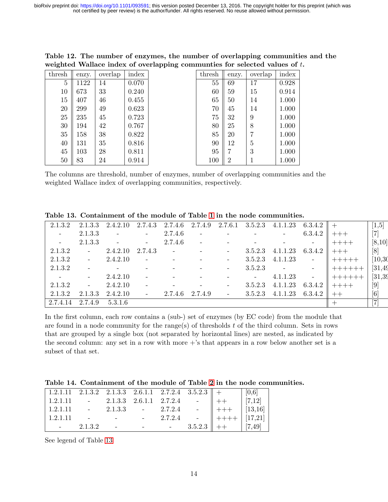| thresh | enzy. | overlap | index | thresh | enzy.          | overlap | index |
|--------|-------|---------|-------|--------|----------------|---------|-------|
| 5      | 1122  | 14      | 0.070 | 55     | 69             | 17      | 0.928 |
| 10     | 673   | 33      | 0.240 | 60     | 59             | 15      | 0.914 |
| 15     | 407   | 46      | 0.455 | 65     | 50             | 14      | 1.000 |
| 20     | 299   | 49      | 0.623 | 70     | 45             | 14      | 1.000 |
| 25     | 235   | 45      | 0.723 | 75     | 32             | 9       | 1.000 |
| 30     | 194   | 42      | 0.767 | 80     | 25             | 8       | 1.000 |
| 35     | 158   | 38      | 0.822 | 85     | 20             | 7       | 1.000 |
| 40     | 131   | 35      | 0.816 | 90     | 12             | 5       | 1.000 |
| 45     | 103   | 28      | 0.811 | 95     | 7              | 3       | 1.000 |
| 50     | 83    | 24      | 0.914 | 100    | $\overline{2}$ |         | 1.000 |

<span id="page-13-0"></span>Table 12. The number of enzymes, the number of overlapping communities and the weighted Wallace index of overlapping communties for selected values of  $t$ .

The columns are threshold, number of enzymes, number of overlapping communities and the weighted Wallace index of overlapping communities, respectively.

| 2.1.3.2         | 2.1.3.3      | 2.4.2.10 | 2.7.4.3                  | 2.7.4.6 | 2.7.4.9                        |                          | $2.7.6.1$ $3.5.2.3$ | 4.1.1.23    | 6.3.4.2 |         | $[1,\!5]$      |
|-----------------|--------------|----------|--------------------------|---------|--------------------------------|--------------------------|---------------------|-------------|---------|---------|----------------|
| $\sim$ $-$      | 2.1.3.3      | $\sim$   | $\sim$                   | 2.7.4.6 | $\overline{\phantom{a}}$       |                          |                     |             | 6.3.4.2 |         | $[7]$          |
| $\sim$          | 2.1.3.3      |          | $\overline{\phantom{a}}$ | 2.7.4.6 |                                |                          |                     |             |         | $+++++$ | [8,10]         |
| 2.1.3.2         | $\sim 100$   | 2.4.2.10 | 2.7.4.3                  |         | and the company of the company | $\overline{\phantom{a}}$ | 3.5.2.3             | 4.1.1.23    | 6.3.4.2 |         | [8]            |
| 2.1.3.2         | $\sim 100$   | 2.4.2.10 | $\mathbf{r}$             |         |                                | $\overline{\phantom{a}}$ | 3.5.2.3             | 4.1.1.23    | -       |         | [10, 30]       |
| 2.1.3.2         |              |          |                          |         |                                |                          |                     | $3.5.2.3 -$ |         | ┽┽┽┽┽   | [31, 49]       |
| $\sim 10^{-10}$ | $\sim$       | 2.4.2.10 |                          |         |                                |                          | $\sim 10^{-10}$     | 4.1.1.23    |         |         | [31, 39]       |
| 2.1.3.2         | $\mathbb{L}$ | 2.4.2.10 | $\equiv$                 |         |                                | $\overline{\phantom{a}}$ | 3.5.2.3             | 4.1.1.23    | 6.3.4.2 | $++++-$ | $[9]$          |
| 2.1.3.2         | 2.1.3.3      | 2.4.2.10 | $\equiv$                 | 2.7.4.6 | 2.7.4.9                        | $\mathbb{L}$             | 3.5.2.3             | 4.1.1.23    | 6.3.4.2 | $++$    | [6]            |
| 2.7.4.14        | 2.7.4.9      | 5.3.1.6  |                          |         |                                |                          |                     |             |         |         | $\overline{7}$ |

<span id="page-13-1"></span>Table 13. Containment of the module of Table [1](#page-6-0) in the node communities.

In the first column, each row contains a (sub-) set of enzymes (by EC code) from the module that are found in a node community for the range(s) of thresholds t of the third column. Sets in rows that are grouped by a single box (not separated by horizontal lines) are nested, as indicated by the second column: any set in a row with more  $+$ 's that appears in a row below another set is a subset of that set.

|  | Table 14. Containment of the module of Table 2 in the node communities. |  |  |  |  |  |  |  |  |  |
|--|-------------------------------------------------------------------------|--|--|--|--|--|--|--|--|--|
|--|-------------------------------------------------------------------------|--|--|--|--|--|--|--|--|--|

|          |            |  |  |                                                                                                                                                                                                                                         | $\begin{bmatrix} 0,6 \end{bmatrix}$ |
|----------|------------|--|--|-----------------------------------------------------------------------------------------------------------------------------------------------------------------------------------------------------------------------------------------|-------------------------------------|
|          |            |  |  |                                                                                                                                                                                                                                         |                                     |
| 1.2.1.11 |            |  |  |                                                                                                                                                                                                                                         |                                     |
| 1.2.1.11 |            |  |  |                                                                                                                                                                                                                                         |                                     |
|          | $-2.1.3.2$ |  |  | $\begin{array}{ccccccccc}\n & - & 2.1.3.3 & - & 2.7.2.4 & - & + & [7,12] \\  & - & - & - & 2.7.2.4 & - & + & [13,16] \\  & - & - & - & - & 2.7.2.4 & - & + & [17,21] \\ \end{array}$<br>$3.5.2.3$ $\parallel$ ++ $\qquad$ $\mid$ [7,49] |                                     |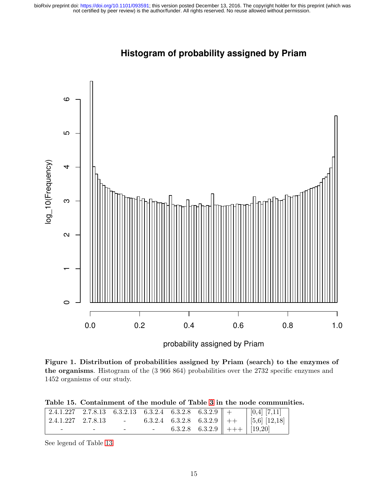<span id="page-14-0"></span>

# **Histogram of probability assigned by Priam**

probability assigned by Priam

Figure 1. Distribution of probabilities assigned by Priam (search) to the enzymes of the organisms. Histogram of the (3 966 864) probabilities over the 2732 specific enzymes and 1452 organisms of our study.

| Table 15. Containment of the module of Table 3 in the node communities. |
|-------------------------------------------------------------------------|
|                                                                         |

| $\vert 2.4.1.227 \quad 2.7.8.13 \vert$ |   |  |  | $-$ 6.3.2.4 6.3.2.8 6.3.2.9 + $\vert$ [5,6] [12,18] |
|----------------------------------------|---|--|--|-----------------------------------------------------|
| -                                      | - |  |  | 6.3.2.8 6.3.2.9 $\parallel$ +++ $\mid$ [19,20]      |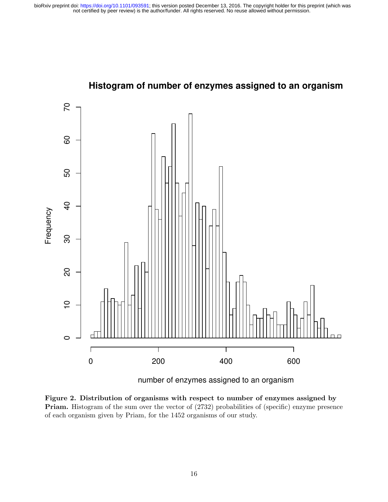<span id="page-15-0"></span>

# **Histogram of number of enzymes assigned to an organism**

Figure 2. Distribution of organisms with respect to number of enzymes assigned by Priam. Histogram of the sum over the vector of (2732) probabilities of (specific) enzyme presence of each organism given by Priam, for the 1452 organisms of our study.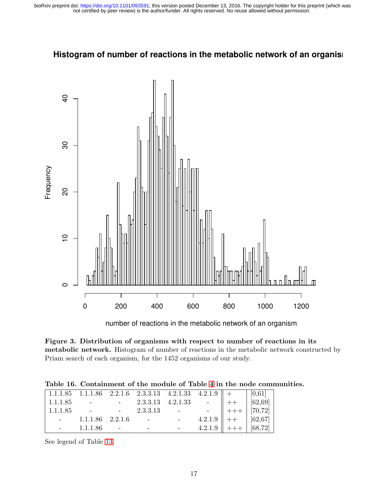

## <span id="page-16-0"></span>Histogram of number of reactions in the metabolic network of an organis

Figure 3. Distribution of organisms with respect to number of reactions in its metabolic network. Histogram of number of reactions in the metabolic network constructed by Priam search of each organism, for the 1452 organisms of our study.

|  |  |  |  |  |  |  |  | Table 16. Containment of the module of Table 4 in the node communities. |
|--|--|--|--|--|--|--|--|-------------------------------------------------------------------------|
|--|--|--|--|--|--|--|--|-------------------------------------------------------------------------|

| 1.1.1.85 |                       |               |                                                                                                                                                                                                                                                                                                |  |  |
|----------|-----------------------|---------------|------------------------------------------------------------------------------------------------------------------------------------------------------------------------------------------------------------------------------------------------------------------------------------------------|--|--|
| 1.1.1.85 |                       | $-2.3.3.13 -$ |                                                                                                                                                                                                                                                                                                |  |  |
|          | $-1.1.1.86$ $2.2.1.6$ |               |                                                                                                                                                                                                                                                                                                |  |  |
|          | $-1.1.1.86$ $-$       |               | $\begin{array}{ccccccc}\n1.111.63 & 1.111.63 & 1.111.65 & 1.111.65 & 1.111.65 & 1.111.65 & 1.111.65 & 1.111.66 & 1.111.86 & - & & & & & \\  & & & 2.3 & 3.13 & - & & & & & \\  & & & 4.2 & 1.9 & + & & & & \\  & & & 4.2 & 1.9 & + & & & & & \\  & & & & 4.2 & 1.9 & + & & & & \\ \end{array}$ |  |  |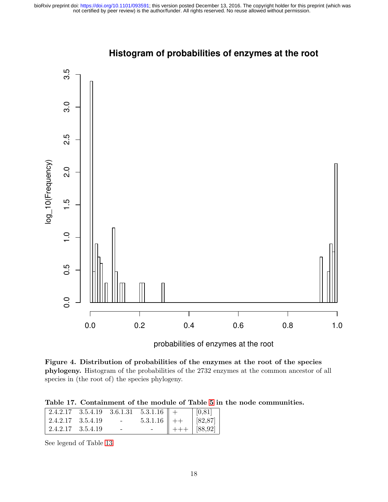<span id="page-17-0"></span>

## **Histogram of probabilities of enzymes at the root**

probabilities of enzymes at the root

Figure 4. Distribution of probabilities of the enzymes at the root of the species phylogeny. Histogram of the probabilities of the 2732 enzymes at the common ancestor of all species in (the root of) the species phylogeny.

Table 17. Containment of the module of Table [5](#page-8-1) in the node communities.

| $\parallel$ 2.4.2.17 3.5.4.19 3.6.1.31 5.3.1.16 $\parallel$ + |                                 |                 | [0,81]                   |
|---------------------------------------------------------------|---------------------------------|-----------------|--------------------------|
| $\vert 2.4.2.17 \quad 3.5.4.19 \vert$                         | <b>Contract Contract Street</b> | $5.3.1.16$   ++ | [82, 87]                 |
| $\vert 2.4.2.17 \quad 3.5.4.19 \vert$                         |                                 |                 | $  $ +++ $ $ [88,92] $ $ |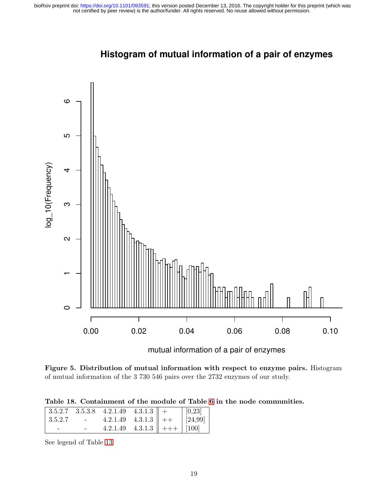<span id="page-18-0"></span>

## **Histogram of mutual information of a pair of enzymes**

mutual information of a pair of enzymes

Figure 5. Distribution of mutual information with respect to enzyme pairs. Histogram of mutual information of the 3 730 546 pairs over the 2732 enzymes of our study.

| Table 18. Containment of the module of Table 6 in the node communities. |  |  |  |
|-------------------------------------------------------------------------|--|--|--|
|-------------------------------------------------------------------------|--|--|--|

|               |                                   | $\begin{array}{ l c c c c c c c } \hline 3.5.2.7 & 3.5.3.8 & 4.2.1.49 & 4.3.1.3 & + \ \hline \end{array}$ |  | $\mid$ [0,23] $\mid$ |
|---------------|-----------------------------------|-----------------------------------------------------------------------------------------------------------|--|----------------------|
| $\pm 3.5.2.7$ | <b>Contract Contract Contract</b> | 4.2.1.49 4.3.1.3 + $ $ $ 24.99 $                                                                          |  |                      |
| -             |                                   | 4.2.1.49 4.3.1.3 +++ $\begin{bmatrix} 100 \end{bmatrix}$                                                  |  |                      |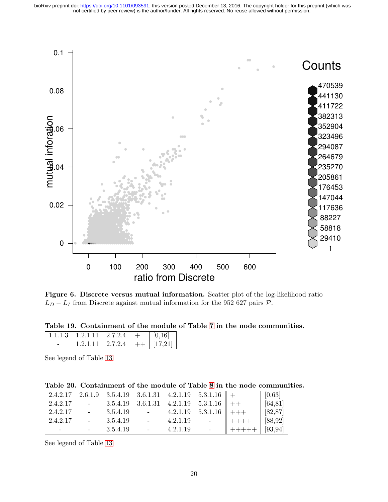<span id="page-19-0"></span>

Figure 6. Discrete versus mutual information. Scatter plot of the log-likelihood ratio  $L_D - L_I$  from Discrete against mutual information for the 952 627 pairs  $P$ .

Table 19. Containment of the module of Table [7](#page-8-3) in the node communities.

| 1113 | $1.2.1.11 \quad 2.7.2.4 \parallel +$  |  | 0,16 |
|------|---------------------------------------|--|------|
|      | 1.2.1.11 2.7.2.4 $\ $ ++ $\ $ [17,21] |  |      |

See legend of Table [13](#page-13-1)

|  | Table 20. Containment of the module of Table 8 in the node communities. |  |  |  |  |  |  |  |  |  |
|--|-------------------------------------------------------------------------|--|--|--|--|--|--|--|--|--|
|--|-------------------------------------------------------------------------|--|--|--|--|--|--|--|--|--|

|          |             |                                                                                                                                                                                                                                                                                                                                                                                                                                                           |             | $\begin{array}{cccccc} 2.4.2.17 & 2.6.1.9 & 3.5.4.19 & 3.6.1.31 & 4.2.1.19 & 5.3.1.16 \end{array}$ + |                          | [0,63]   |
|----------|-------------|-----------------------------------------------------------------------------------------------------------------------------------------------------------------------------------------------------------------------------------------------------------------------------------------------------------------------------------------------------------------------------------------------------------------------------------------------------------|-------------|------------------------------------------------------------------------------------------------------|--------------------------|----------|
| 2.4.2.17 |             |                                                                                                                                                                                                                                                                                                                                                                                                                                                           |             | $-3.5.4.19 \quad 3.6.1.31 \quad 4.2.1.19 \quad 5.3.1.16 \parallel ++$                                |                          | [64, 81] |
| 2.4.2.17 | $-3.5.4.19$ |                                                                                                                                                                                                                                                                                                                                                                                                                                                           |             | $-4.2.1.19$ $5.3.1.16$ $ $ $ $ +++                                                                   |                          | [82, 87] |
| 2.4.2.17 | $-3.5.4.19$ |                                                                                                                                                                                                                                                                                                                                                                                                                                                           | $-4.2.1.19$ |                                                                                                      | $   + + + +$             | [88, 92] |
|          | $-3.5.4.19$ | $\mathcal{L}^{\mathcal{L}}(\mathcal{L}^{\mathcal{L}}(\mathcal{L}^{\mathcal{L}}(\mathcal{L}^{\mathcal{L}}(\mathcal{L}^{\mathcal{L}}(\mathcal{L}^{\mathcal{L}}(\mathcal{L}^{\mathcal{L}}(\mathcal{L}^{\mathcal{L}}(\mathcal{L}^{\mathcal{L}}(\mathcal{L}^{\mathcal{L}}(\mathcal{L}^{\mathcal{L}}(\mathcal{L}^{\mathcal{L}}(\mathcal{L}^{\mathcal{L}}(\mathcal{L}^{\mathcal{L}}(\mathcal{L}^{\mathcal{L}}(\mathcal{L}^{\mathcal{L}}(\mathcal{L}^{\mathcal{L$ | 4.2.1.19    |                                                                                                      | $0. + + + + + + \ \cdot$ | [93, 94] |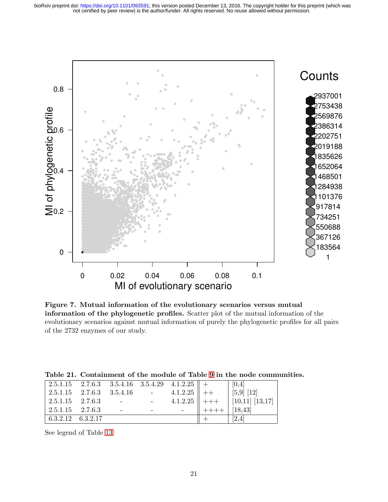not certified by peer review) is the author/funder. All rights reserved. No reuse allowed without permission. bioRxiv preprint doi: [https://doi.org/10.1101/093591;](https://doi.org/10.1101/093591) this version posted December 13, 2016. The copyright holder for this preprint (which was

<span id="page-20-0"></span>

Figure 7. Mutual information of the evolutionary scenarios versus mutual information of the phylogenetic profiles. Scatter plot of the mutual information of the evolutionary scenarios against mutual information of purely the phylogenetic profiles for all pairs of the 2732 enzymes of our study.

|                                                                                                                                                                |                                                             |  |        | [0,4]                                  |
|----------------------------------------------------------------------------------------------------------------------------------------------------------------|-------------------------------------------------------------|--|--------|----------------------------------------|
| $\begin{array}{ l c c c c c c c c } \hline 2.5.1.15 & 2.7.6.3 & 3.5.4.16 & \text{\quad \  \  \, - & 4.1.2.25 \parallel + & \text{\quad \  \  \, + \end{array}$ |                                                             |  |        | $\mid$ [5,9] [12]                      |
| $\vert 2.5.1.15 \quad 2.7.6.3 \vert$                                                                                                                           | $\mathcal{L}^{\mathcal{L}}$ and $\mathcal{L}^{\mathcal{L}}$ |  |        | 4.1.2.25 $\ $ +++ $\ $ [10,11] [13,17] |
| $\vert 2.5.1.15 \quad 2.7.6.3 \vert$                                                                                                                           |                                                             |  | ∥ ++++ | 18,43                                  |
| $\vert 6.3.2.12 \quad 6.3.2.17 \vert$                                                                                                                          |                                                             |  |        | [2,4]                                  |

Table 21. Containment of the module of Table [9](#page-9-0) in the node communities.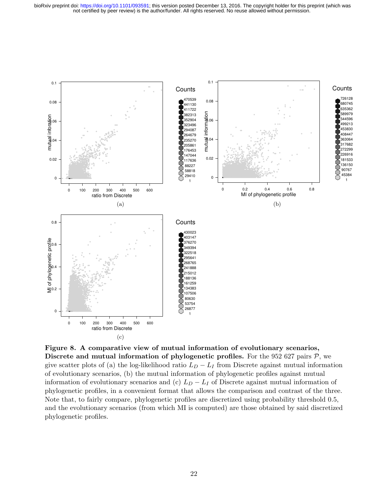not certified by peer review) is the author/funder. All rights reserved. No reuse allowed without permission. bioRxiv preprint doi: [https://doi.org/10.1101/093591;](https://doi.org/10.1101/093591) this version posted December 13, 2016. The copyright holder for this preprint (which was



Figure 8. A comparative view of mutual information of evolutionary scenarios, Discrete and mutual information of phylogenetic profiles. For the 952 627 pairs  $P$ , we give scatter plots of (a) the log-likelihood ratio  $L_D - L_I$  from Discrete against mutual information of evolutionary scenarios, (b) the mutual information of phylogenetic profiles against mutual information of evolutionary scenarios and (c)  $L_D - L_I$  of Discrete against mutual information of phylogenetic profiles, in a convenient format that allows the comparison and contrast of the three. Note that, to fairly compare, phylogenetic profiles are discretized using probability threshold 0.5, and the evolutionary scenarios (from which MI is computed) are those obtained by said discretized phylogenetic profiles.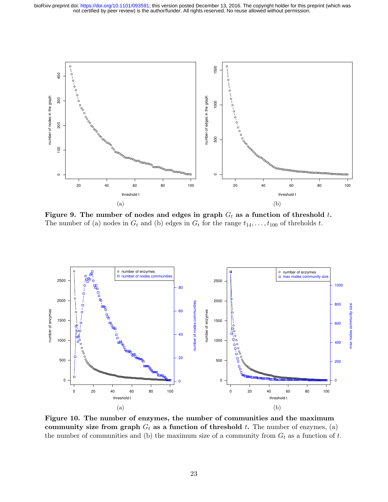<span id="page-22-0"></span>

Figure 9. The number of nodes and edges in graph  $G_t$  as a function of threshold t. The number of (a) nodes in  $G_t$  and (b) edges in  $G_t$  for the range  $t_{14}, \ldots, t_{100}$  of threholds t.

<span id="page-22-1"></span>

Figure 10. The number of enzymes, the number of communities and the maximum community size from graph  $G_t$  as a function of threshold t. The number of enzymes, (a) the number of communities and (b) the maximum size of a community from  $G_t$  as a function of t.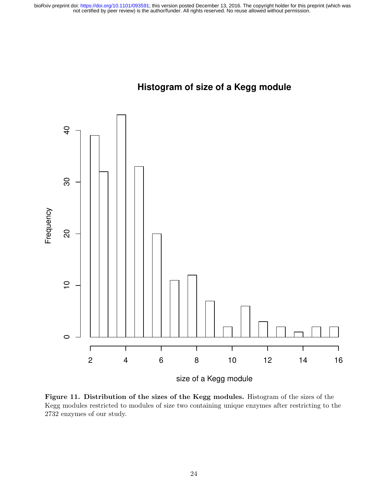

<span id="page-23-0"></span>

Figure 11. Distribution of the sizes of the Kegg modules. Histogram of the sizes of the Kegg modules restricted to modules of size two containing unique enzymes after restricting to the 2732 enzymes of our study.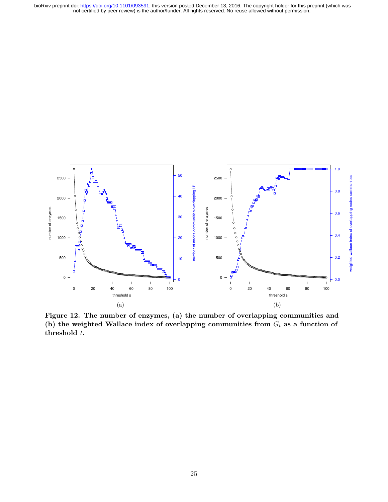not certified by peer review) is the author/funder. All rights reserved. No reuse allowed without permission. bioRxiv preprint doi: [https://doi.org/10.1101/093591;](https://doi.org/10.1101/093591) this version posted December 13, 2016. The copyright holder for this preprint (which was

<span id="page-24-0"></span>

Figure 12. The number of enzymes, (a) the number of overlapping communities and (b) the weighted Wallace index of overlapping communities from  $G_t$  as a function of threshold t.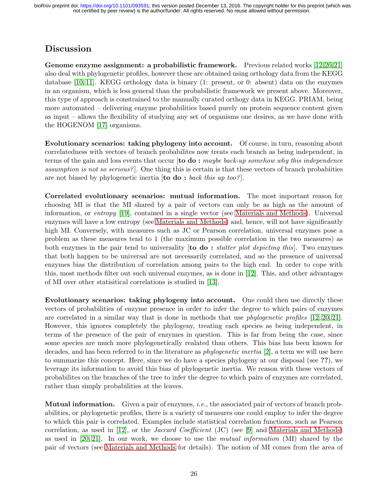## Discussion

Genome enzyme assignment: a probabilistic framework. Previous related works [\[12,](#page-29-6)[20](#page-29-4)[,21\]](#page-29-5) also deal with phylogenetic profiles, however these are obtained using orthology data from the KEGG database [\[10,](#page-29-8) [11\]](#page-29-2). KEGG orthology data is binary (1: present, or 0: absent) data on the enzymes in an organism, which is less general than the probabilistic framework we present above. Moreover, this type of approach is constrained to the manually curated orthogy data in KEGG. PRIAM, being more automated – delivering enzyme probabilities based purely on protein sequence content given as input – allows the flexibility of studying any set of organisms one desires, as we have done with the HOGENOM [\[17\]](#page-29-0) organisms.

Evolutionary scenarios: taking phylogeny into account. Of course, in turn, reasoning about correlatedness with vectors of branch probabilites now treats each branch as being independent, in terms of the gain and loss events that occur  $[to do : maybe back-up somehow why this independence$ assumption is not so serious?]. One thing this is certain is that these vectors of branch probabiities are not biased by phylogenetic inertia  $[$ to do : back this up too?].

Correlated evolutionary scenarios: mutual information. The most important reason for choosing MI is that the MI shared by a pair of vectors can only be as high as the amount of information, or entropy [\[19\]](#page-29-9), contained in a single vector (see [Materials and Methods\)](#page-2-2). Universal enzymes will have a low entropy (see [Materials and Methods\)](#page-2-2) and, hence, will not have significantly high MI. Conversely, with measures such as JC or Pearson correlation, universal enzymes pose a problem as these measures tend to 1 (the maximum possible correlation in the two measures) as both enzymes in the pair tend to universality  $[to \text{ do}: \text{ } statement \text{ plot}\text{ } \text{ depicting this}]$ . Two enzymes that both happen to be universal are not necessarily correlated, and so the presence of universal enzymes bias the distribution of correlation among pairs to the high end. In order to cope with this, most methods filter out such universal enzymes, as is done in [\[12\]](#page-29-6). This, and other advantages of MI over other statisitical correlations is studied in [\[13\]](#page-29-10).

Evolutionary scenarios: taking phylogeny into account. One could then use directly these vectors of probabilities of enzyme presence in order to infer the degree to which pairs of enzymes are correlated in a similar way that is done in methods that use phylogenetic profiles [\[12,](#page-29-6) [20,](#page-29-4) [21\]](#page-29-5). However, this ignores completely the phylogeny, treating each species as being independent, in terms of the presence of the pair of enzymes in question. This is far from being the case, since some species are much more phylogenetically realated than others. This bias has been known for decades, and has been referred to in the literature as *phylogenetic inertia* [\[2\]](#page-28-6), a term we will use here to summarize this concept. Here, since we do have a species phylogeny at our disposal (see ??), we leverage its information to avoid this bias of phylogenetic inertia. We reason with these vectors of probabilites on the branches of the tree to infer the degree to which pairs of enzymes are correlated, rather than simply probabilities at the leaves.

**Mutual information.** Given a pair of enzymes, *i.e.*, the associated pair of vectors of branch probabilities, or phylogenetic profiles, there is a variety of measures one could employ to infer the degree to which this pair is correlated. Examples include statistical correlation functions, such as Pearson correlation, as used in [\[12\]](#page-29-6), or the Jaccard Coefficient (JC) (see [\[9\]](#page-29-11) and [Materials and Methods\)](#page-2-2) as used in [\[20,](#page-29-4) [21\]](#page-29-5). In our work, we choose to use the mutual information (MI) shared by the pair of vectors (see [Materials and Methods](#page-2-2) for details). The notion of MI comes from the area of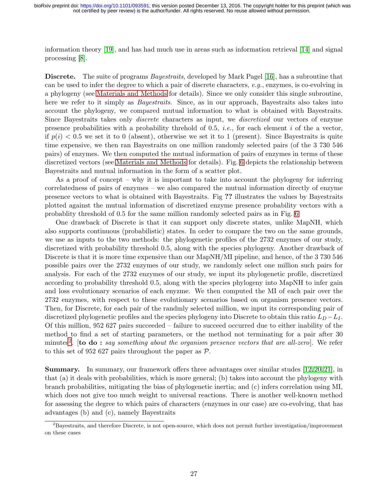information theory [\[19\]](#page-29-9), and has had much use in areas such as information retrieval [\[14\]](#page-29-12) and signal processing [\[8\]](#page-28-7).

Discrete. The suite of programs Bayestraits, developed by Mark Pagel [\[16\]](#page-29-7), has a subroutine that can be used to infer the degree to which a pair of discrete characters, e.g., enzymes, is co-evolving in a phylogeny (see [Materials and Methods](#page-2-2) for details). Since we only consider this single subroutine, here we refer to it simply as *Bayestraits*. Since, as in our approach, Bayestraits also takes into account the phylogeny, we compared mutual information to what is obtained with Bayestraits. Since Bayestraits takes only discrete characters as input, we discretized our vectors of enzyme presence probabilities with a probability threhold of 0.5, *i.e.*, for each element i of the a vector, if  $p(i) < 0.5$  we set it to 0 (absent), otherwise we set it to 1 (present). Since Bayestraits is quite time expensive, we then ran Bayestraits on one million randomly selected pairs (of the 3 730 546 pairs) of enzymes. We then computed the mutual information of pairs of enzymes in terms of these discretized vectors (see [Materials and Methods](#page-2-2) for details). Fig. [6](#page-19-0) depicts the relationship between Bayestraits and mutual information in the form of a scatter plot.

As a proof of concept – why it is important to take into account the phylogeny for inferring correlatedness of pairs of enzymes – we also compared the mutual information directly of enzyme presence vectors to what is obtained with Bayestraits. Fig ?? illustrates the values by Bayestraits plotted against the mutual information of discretized enzyme presence probability vectors with a probablity threshold of 0.5 for the same million randomly selected pairs as in Fig. [6](#page-19-0)

One drawback of Discrete is that it can support only discrete states, unlike MapNH, which also supports continuous (probabilistic) states. In order to compare the two on the same grounds, we use as inputs to the two methods: the phylogenetic profiles of the 2732 enzymes of our study, discretized with probability threshold 0.5, along with the species phylogeny. Another drawback of Discrete is that it is more time expensive than our MapNH/MI pipeline, and hence, of the 3 730 546 possible pairs over the 2732 enzymes of our study, we randomly select one million such pairs for analysis. For each of the 2732 enzymes of our study, we input its phylogenetic profile, discretized according to probability threshold 0.5, along with the species phylogeny into MapNH to infer gain and loss evolutionary scenarios of each enyzme. We then computed the MI of each pair over the 2732 enzymes, with respect to these evolutionary scenarios based on organism presence vectors. Then, for Discrete, for each pair of the randmly selected million, we input its corresponding pair of discretized phylogenetic profiles and the species phylogeny into Discrete to obtain this ratio  $L_D - L_I$ . Of this million, 952 627 pairs succeeded – failure to succeed occurred due to either inability of the method to find a set of starting parameters, or the method not terminating for a pair after 30 minutes<sup>[2](#page-26-0)</sup>. [to do : say something about the organism presence vectors that are all-zero]. We refer to this set of 952 627 pairs throughout the paper as  $P$ .

Summary. In summary, our framework offers three advantages over similar studes [\[12,](#page-29-6) [20,](#page-29-4) [21\]](#page-29-5), in that (a) it deals with probabilities, which is more general; (b) takes into account the phylogeny with branch probabilities, mitigating the bias of phylogenetic inertia; and (c) infers correlation using MI, which does not give too much weight to universal reactions. There is another well-known method for assessing the degree to which pairs of characters (enzymes in our case) are co-evolving, that has advantages (b) and (c), namely Bayestraits

<span id="page-26-0"></span> ${}^{2}$ Bayestraits, and therefore Discrete, is not open-source, which does not permit further investigation/improvement on these cases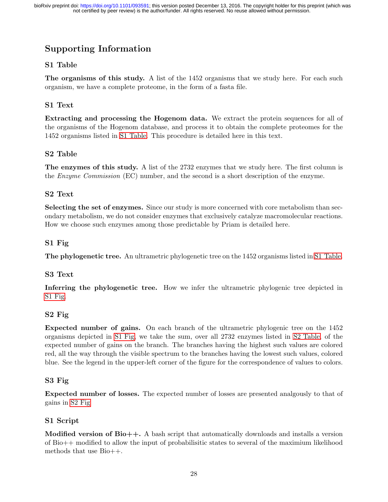# Supporting Information

## <span id="page-27-0"></span>S1 Table

The organisms of this study. A list of the 1452 organisms that we study here. For each such organism, we have a complete proteome, in the form of a fasta file.

## <span id="page-27-1"></span>S1 Text

Extracting and processing the Hogenom data. We extract the protein sequences for all of the organisms of the Hogenom database, and process it to obtain the complete proteomes for the 1452 organisms listed in [S1 Table.](#page-27-0) This procedure is detailed here in this text.

## <span id="page-27-2"></span>S2 Table

The enzymes of this study. A list of the 2732 enzymes that we study here. The first column is the Enzyme Commission (EC) number, and the second is a short description of the enzyme.

## <span id="page-27-3"></span>S2 Text

Selecting the set of enzymes. Since our study is more concerned with core metabolism than secondary metabolism, we do not consider enzymes that exclusively catalyze macromolecular reactions. How we choose such enzymes among those predictable by Priam is detailed here.

## <span id="page-27-4"></span>S1 Fig

The phylogenetic tree. An ultrametric phylogenetic tree on the 1452 organisms listed in [S1 Table.](#page-27-0)

## <span id="page-27-5"></span>S3 Text

Inferring the phylogenetic tree. How we infer the ultrametric phylogenic tree depicted in [S1 Fig.](#page-27-4)

## <span id="page-27-6"></span>S2 Fig

Expected number of gains. On each branch of the ultrametric phylogenic tree on the 1452 organisms depicted in [S1 Fig,](#page-27-4) we take the sum, over all 2732 enzymes listed in [S2 Table,](#page-27-2) of the expected number of gains on the branch. The branches having the highest such values are colored red, all the way through the visible spectrum to the branches having the lowest such values, colored blue. See the legend in the upper-left corner of the figure for the correspondence of values to colors.

## <span id="page-27-7"></span>S3 Fig

Expected number of losses. The expected number of losses are presented analgously to that of gains in [S2 Fig](#page-27-6)

## <span id="page-27-8"></span>S1 Script

**Modified version of Bio++.** A bash script that automatically downloads and installs a version of Bio++ modified to allow the input of probabilisitic states to several of the maximium likelihood methods that use Bio++.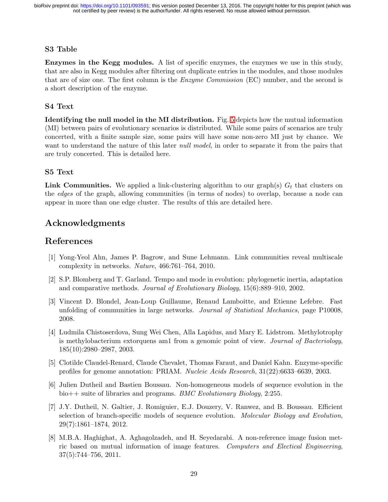## S3 Table

Enzymes in the Kegg modules. A list of specific enzymes, the enzymes we use in this study, that are also in Kegg modules after filtering out duplicate entries in the modules, and those modules that are of size one. The first column is the *Enzyme Commission* (EC) number, and the second is a short description of the enzyme.

## S4 Text

Identifying the null model in the MI distribution. Fig. [5](#page-18-0) depicts how the mutual information (MI) between pairs of evolutionary scenarios is distributed. While some pairs of scenarios are truly concerted, with a finite sample size, some pairs will have some non-zero MI just by chance. We want to understand the nature of this later *null model*, in order to separate it from the pairs that are truly concerted. This is detailed here.

## S5 Text

**Link Communities.** We applied a link-clustering algorithm to our graph(s)  $G_t$  that clusters on the edges of the graph, allowing communities (in terms of nodes) to overlap, because a node can appear in more than one edge cluster. The results of this are detailed here.

## Acknowledgments

## <span id="page-28-1"></span>References

- [1] Yong-Yeol Ahn, James P. Bagrow, and Sune Lehmann. Link communities reveal multiscale complexity in networks. Nature, 466:761–764, 2010.
- <span id="page-28-6"></span>[2] S.P. Blomberg and T. Garland. Tempo and mode in evolution: phylogenetic inertia, adaptation and comparative methods. Journal of Evolutionary Biology, 15(6):889–910, 2002.
- <span id="page-28-2"></span>[3] Vincent D. Blondel, Jean-Loup Guillaume, Renaud Lamboitte, and Etienne Lefebre. Fast unfolding of communities in large networks. Journal of Statistical Mechanics, page P10008, 2008.
- <span id="page-28-5"></span>[4] Ludmila Chistoserdova, Sung Wei Chen, Alla Lapidus, and Mary E. Lidstrom. Methylotrophy is methylobacterium extorquens am1 from a genomic point of view. Journal of Bacteriology, 185(10):2980–2987, 2003.
- <span id="page-28-0"></span>[5] Clotilde Claudel-Renard, Claude Chevalet, Thomas Faraut, and Daniel Kahn. Enzyme-specific profiles for genome annotation: PRIAM. Nucleic Acids Research, 31(22):6633–6639, 2003.
- <span id="page-28-4"></span>[6] Julien Dutheil and Bastien Boussau. Non-homogeneous models of sequence evolution in the bio++ suite of libraries and programs. BMC Evolutionary Biology, 2:255.
- <span id="page-28-3"></span>[7] J.Y. Dutheil, N. Galtier, J. Romiguier, E.J. Douzery, V. Ranwez, and B. Boussau. Efficient selection of branch-specific models of sequence evolution. Molecular Biology and Evolution, 29(7):1861–1874, 2012.
- <span id="page-28-7"></span>[8] M.B.A. Haghighat, A. Aghagolzadeh, and H. Seyedarabi. A non-reference image fusion metric based on mutual information of image features. Computers and Electical Engineering, 37(5):744–756, 2011.